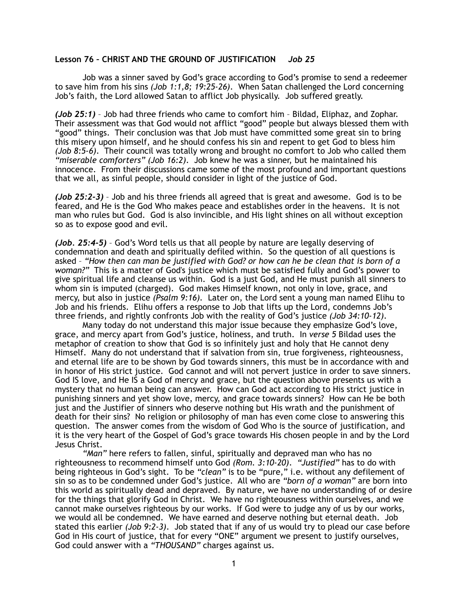## **Lesson 76 – CHRIST AND THE GROUND OF JUSTIFICATION** *Job 25*

Job was a sinner saved by God's grace according to God's promise to send a redeemer to save him from his sins *(Job 1:1,8; 19:25-26)*. When Satan challenged the Lord concerning Job's faith, the Lord allowed Satan to afflict Job physically. Job suffered greatly.

*(Job 25:1)* – Job had three friends who came to comfort him – Bildad, Eliphaz, and Zophar. Their assessment was that God would not afflict "good" people but always blessed them with "good" things. Their conclusion was that Job must have committed some great sin to bring this misery upon himself, and he should confess his sin and repent to get God to bless him *(Job 8:5-6)*. Their council was totally wrong and brought no comfort to Job who called them *"miserable comforters" (Job 16:2)*. Job knew he was a sinner, but he maintained his innocence. From their discussions came some of the most profound and important questions that we all, as sinful people, should consider in light of the justice of God.

*(Job 25:2-3)* – Job and his three friends all agreed that is great and awesome. God is to be feared, and He is the God Who makes peace and establishes order in the heavens. It is not man who rules but God. God is also invincible, and His light shines on all without exception so as to expose good and evil.

*(Job. 25:4-5)* – God's Word tells us that all people by nature are legally deserving of condemnation and death and spiritually defiled within. So the question of all questions is asked – *"How then can man be justified with God? or how can he be clean that is born of a woman?"* This is a matter of God's justice which must be satisfied fully and God's power to give spiritual life and cleanse us within. God is a just God, and He must punish all sinners to whom sin is imputed (charged). God makes Himself known, not only in love, grace, and mercy, but also in justice *(Psalm 9:16).* Later on, the Lord sent a young man named Elihu to Job and his friends. Elihu offers a response to Job that lifts up the Lord, condemns Job's three friends, and rightly confronts Job with the reality of God's justice *(Job 34:10-12)*.

 Many today do not understand this major issue because they emphasize God's love, grace, and mercy apart from God's justice, holiness, and truth. In *verse 5* Bildad uses the metaphor of creation to show that God is so infinitely just and holy that He cannot deny Himself. Many do not understand that if salvation from sin, true forgiveness, righteousness, and eternal life are to be shown by God towards sinners, this must be in accordance with and in honor of His strict justice. God cannot and will not pervert justice in order to save sinners. God IS love, and He IS a God of mercy and grace, but the question above presents us with a mystery that no human being can answer. How can God act according to His strict justice in punishing sinners and yet show love, mercy, and grace towards sinners? How can He be both just and the Justifier of sinners who deserve nothing but His wrath and the punishment of death for their sins? No religion or philosophy of man has even come close to answering this question. The answer comes from the wisdom of God Who is the source of justification, and it is the very heart of the Gospel of God's grace towards His chosen people in and by the Lord Jesus Christ.

*"Man"* here refers to fallen, sinful, spiritually and depraved man who has no righteousness to recommend himself unto God *(Rom. 3:10-20)*. *"Justified"* has to do with being righteous in God's sight. To be "clean" is to be "pure," i.e. without any defilement of sin so as to be condemned under God's justice. All who are *"born of a woman"* are born into this world as spiritually dead and depraved. By nature, we have no understanding of or desire for the things that glorify God in Christ. We have no righteousness within ourselves, and we cannot make ourselves righteous by our works. If God were to judge any of us by our works, we would all be condemned. We have earned and deserve nothing but eternal death. Job stated this earlier *(Job 9:2-3)*. Job stated that if any of us would try to plead our case before God in His court of justice, that for every "ONE" argument we present to justify ourselves, God could answer with a *"THOUSAND"* charges against us.